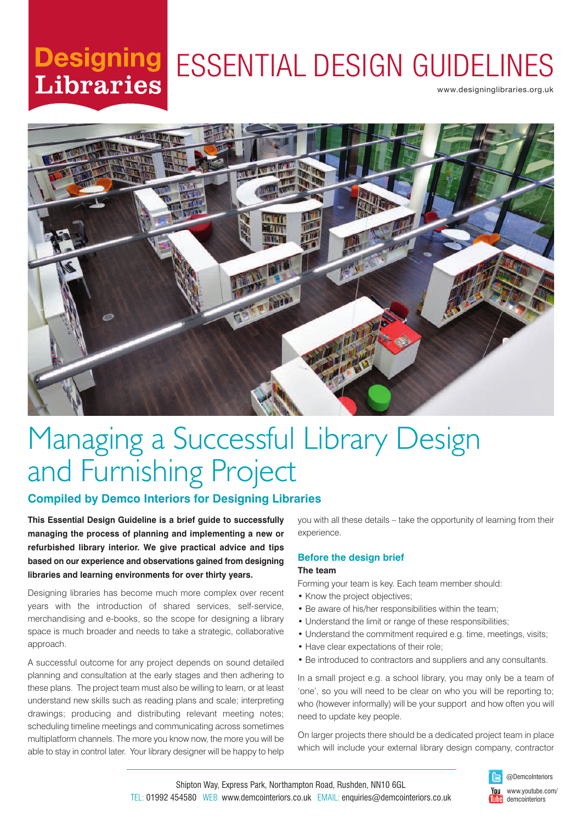# **Libraries**

# Designing ESSENTIAL DESIGN GUIDELINES

www.designinglibraries.org.uk



# Managing a Successful Library Design and Furnishing Project

### **Compiled by Demco Interiors for Designing Libraries**

**This Essential Design Guideline is a brief guide to successfully managing the process of planning and implementing a new or refurbished library interior. We give practical advice and tips based on our experience and observations gained from designing libraries and learning environments for over thirty years.**

Designing libraries has become much more complex over recent years with the introduction of shared services, self-service, merchandising and e-books, so the scope for designing a library space is much broader and needs to take a strategic, collaborative approach.

A successful outcome for any project depends on sound detailed planning and consultation at the early stages and then adhering to these plans. The project team must also be willing to learn, or at least understand new skills such as reading plans and scale; interpreting drawings; producing and distributing relevant meeting notes; scheduling timeline meetings and communicating across sometimes multiplatform channels. The more you know now, the more you will be able to stay in control later. Your library designer will be happy to help you with all these details – take the opportunity of learning from their experience.

#### **Before the design brief The team**

Forming your team is key. Each team member should:

- Know the project objectives;
- Be aware of his/her responsibilities within the team;
- Understand the limit or range of these responsibilities;
- Understand the commitment required e.g. time, meetings, visits;
- Have clear expectations of their role;
- Be introduced to contractors and suppliers and any consultants.

In a small project e.g. a school library, you may only be a team of 'one', so you will need to be clear on who you will be reporting to; who (however informally) will be your support and how often you will need to update key people.

On larger projects there should be a dedicated project team in place which will include your external library design company, contractor



Shipton Way, Express Park, Northampton Road, Rushden, NN10 6GL TEL: 01992 454580 WEB: www.demcointeriors.co.uk EMAIL: enquiries@demcointeriors.co.uk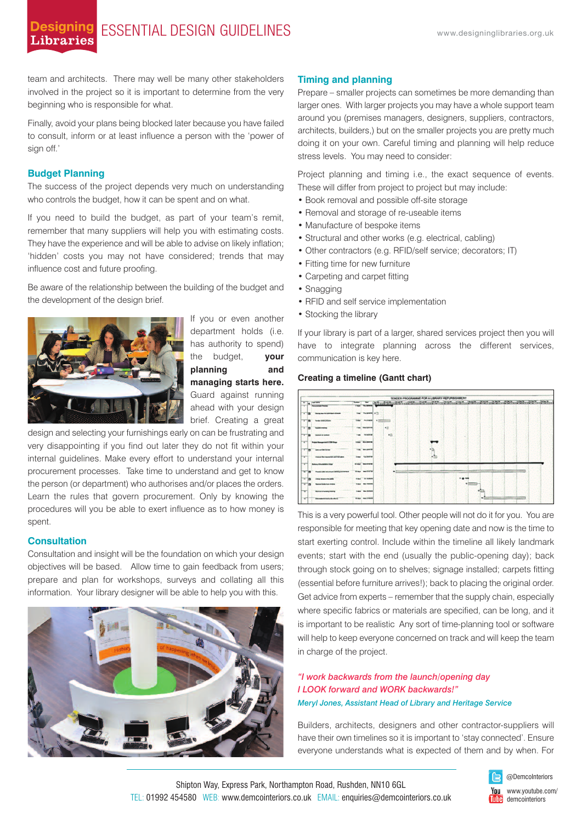### **Designing** ESSENTIAL DESIGN GUIDELINES WWW.designinglibraries.org.uk **Libraries**

team and architects. There may well be many other stakeholders involved in the project so it is important to determine from the very beginning who is responsible for what.

Finally, avoid your plans being blocked later because you have failed to consult, inform or at least influence a person with the 'power of sign off.'

#### **Budget Planning**

The success of the project depends very much on understanding who controls the budget, how it can be spent and on what.

If you need to build the budget, as part of your team's remit, remember that many suppliers will help you with estimating costs. They have the experience and will be able to advise on likely inflation; 'hidden' costs you may not have considered; trends that may influence cost and future proofing.

Be aware of the relationship between the building of the budget and the development of the design brief.



If you or even another department holds (i.e. has authority to spend) the budget, **your planning and managing starts here.** Guard against running ahead with your design brief. Creating a great

design and selecting your furnishings early on can be frustrating and very disappointing if you find out later they do not fit within your internal guidelines. Make every effort to understand your internal procurement processes. Take time to understand and get to know the person (or department) who authorises and/or places the orders. Learn the rules that govern procurement. Only by knowing the procedures will you be able to exert influence as to how money is spent.

#### **Consultation**

Consultation and insight will be the foundation on which your design objectives will be based. Allow time to gain feedback from users; prepare and plan for workshops, surveys and collating all this information. Your library designer will be able to help you with this.



#### **Timing and planning**

Prepare – smaller projects can sometimes be more demanding than larger ones. With larger projects you may have a whole support team around you (premises managers, designers, suppliers, contractors, architects, builders,) but on the smaller projects you are pretty much doing it on your own. Careful timing and planning will help reduce stress levels. You may need to consider:

Project planning and timing i.e., the exact sequence of events. These will differ from project to project but may include:

- Book removal and possible off-site storage
- Removal and storage of re-useable items
- Manufacture of bespoke items
- Structural and other works (e.g. electrical, cabling)
- Other contractors (e.g. RFID/self service; decorators; IT)
- Fitting time for new furniture
- Carpeting and carpet fitting
- Snagging
- RFID and self service implementation
- Stocking the library

If your library is part of a larger, shared services project then you will have to integrate planning across the different services, communication is key here.

#### **Creating a timeline (Gantt chart)**



This is a very powerful tool. Other people will not do it for you. You are responsible for meeting that key opening date and now is the time to start exerting control. Include within the timeline all likely landmark events; start with the end (usually the public-opening day); back through stock going on to shelves; signage installed; carpets fitting (essential before furniture arrives!); back to placing the original order. Get advice from experts – remember that the supply chain, especially where specific fabrics or materials are specified, can be long, and it is important to be realistic Any sort of time-planning tool or software will help to keep everyone concerned on track and will keep the team in charge of the project.

#### *"I work backwards from the launch/opening day I LOOK forward and WORK backwards!" Meryl Jones, Assistant Head of Library and Heritage Service*

Builders, architects, designers and other contractor-suppliers will have their own timelines so it is important to 'stay connected'. Ensure everyone understands what is expected of them and by when. For



www.youtube.com/ demcointeriors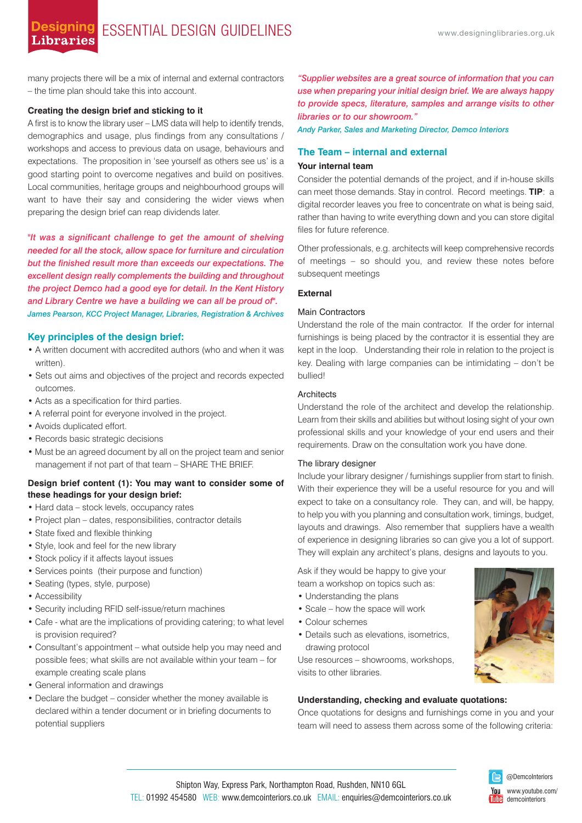many projects there will be a mix of internal and external contractors – the time plan should take this into account.

#### **Creating the design brief and sticking to it**

A first is to know the library user – LMS data will help to identify trends, demographics and usage, plus findings from any consultations / workshops and access to previous data on usage, behaviours and expectations. The proposition in 'see yourself as others see us' is a good starting point to overcome negatives and build on positives. Local communities, heritage groups and neighbourhood groups will want to have their say and considering the wider views when preparing the design brief can reap dividends later.

*"It was a significant challenge to get the amount of shelving needed for all the stock, allow space for furniture and circulation but the finished result more than exceeds our expectations. The excellent design really complements the building and throughout the project Demco had a good eye for detail. In the Kent History and Library Centre we have a building we can all be proud of". James Pearson, KCC Project Manager, Libraries, Registration & Archives*

#### **Key principles of the design brief:**

- A written document with accredited authors (who and when it was written).
- Sets out aims and objectives of the project and records expected outcomes.
- Acts as a specification for third parties.
- A referral point for everyone involved in the project.
- Avoids duplicated effort.
- Records basic strategic decisions
- Must be an agreed document by all on the project team and senior management if not part of that team – SHARE THE BRIEF.

#### **Design brief content (1): You may want to consider some of these headings for your design brief:**

- Hard data stock levels, occupancy rates
- Project plan dates, responsibilities, contractor details
- State fixed and flexible thinking
- Style, look and feel for the new library
- Stock policy if it affects layout issues
- Services points (their purpose and function)
- Seating (types, style, purpose)
- Accessibility
- Security including RFID self-issue/return machines
- Cafe what are the implications of providing catering; to what level is provision required?
- Consultant's appointment what outside help you may need and possible fees; what skills are not available within your team – for example creating scale plans
- General information and drawings
- Declare the budget consider whether the money available is declared within a tender document or in briefing documents to potential suppliers

*"Supplier websites are a great source of information that you can use when preparing your initial design brief. We are always happy to provide specs, literature, samples and arrange visits to other libraries or to our showroom."*

*Andy Parker, Sales and Marketing Director, Demco Interiors*

#### **The Team – internal and external**

#### **Your internal team**

Consider the potential demands of the project, and if in-house skills can meet those demands. Stay in control. Record meetings. **TIP**: a digital recorder leaves you free to concentrate on what is being said, rather than having to write everything down and you can store digital files for future reference.

Other professionals, e.g. architects will keep comprehensive records of meetings – so should you, and review these notes before subsequent meetings

#### **External**

#### Main Contractors

Understand the role of the main contractor. If the order for internal furnishings is being placed by the contractor it is essential they are kept in the loop. Understanding their role in relation to the project is key. Dealing with large companies can be intimidating – don't be bullied!

#### **Architects**

Understand the role of the architect and develop the relationship. Learn from their skills and abilities but without losing sight of your own professional skills and your knowledge of your end users and their requirements. Draw on the consultation work you have done.

#### The library designer

Include your library designer / furnishings supplier from start to finish. With their experience they will be a useful resource for you and will expect to take on a consultancy role. They can, and will, be happy, to help you with you planning and consultation work, timings, budget, layouts and drawings. Also remember that suppliers have a wealth of experience in designing libraries so can give you a lot of support. They will explain any architect's plans, designs and layouts to you.

Ask if they would be happy to give your team a workshop on topics such as:

- Understanding the plans
- Scale how the space will work
- Colour schemes
- Details such as elevations, isometrics, drawing protocol

Use resources – showrooms, workshops, visits to other libraries.

#### **Understanding, checking and evaluate quotations:**

Once quotations for designs and furnishings come in you and your team will need to assess them across some of the following criteria: